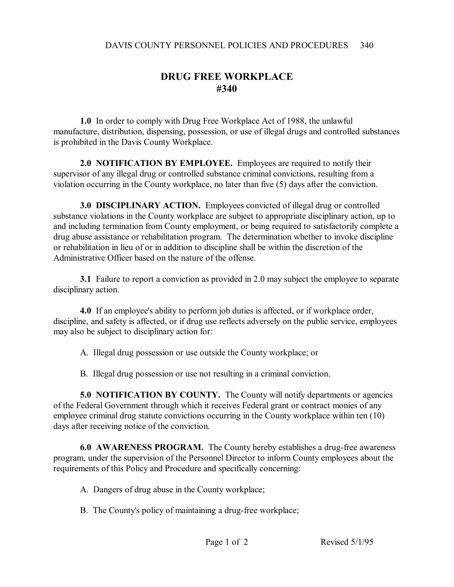## **DRUG FREE WORKPLACE #340**

**1.0** In order to comply with Drug Free Workplace Act of 1988, the unlawful manufacture, distribution, dispensing, possession, or use of illegal drugs and controlled substances is prohibited in the Davis County Workplace.

**2.0 NOTIFICATION BY EMPLOYEE.** Employees are required to notify their supervisor of any illegal drug or controlled substance criminal convictions, resulting from a violation occurring in the County workplace, no later than five (5) days after the conviction.

**3.0 DISCIPLINARY ACTION.** Employees convicted of illegal drug or controlled substance violations in the County workplace are subject to appropriate disciplinary action, up to and including termination from County employment, or being required to satisfactorily complete a drug abuse assistance or rehabilitation program. The determination whether to invoke discipline or rehabilitation in lieu of or in addition to discipline shall be within the discretion of the Administrative Officer based on the nature of the offense.

**3.1** Failure to report a conviction as provided in 2.0 may subject the employee to separate disciplinary action.

**4.0** If an employee's ability to perform job duties is affected, or if workplace order, discipline, and safety is affected, or if drug use reflects adversely on the public service, employees may also be subject to disciplinary action for:

- A. Illegal drug possession or use outside the County workplace; or
- B. Illegal drug possession or use not resulting in a criminal conviction.

**5.0 NOTIFICATION BY COUNTY.** The County will notify departments or agencies of the Federal Government through which it receives Federal grant or contract monies of any employee criminal drug statute convictions occurring in the County workplace within ten (10) days after receiving notice of the conviction.

**6.0 AWARENESS PROGRAM.** The County hereby establishes a drug-free awareness program, under the supervision of the Personnel Director to inform County employees about the requirements of this Policy and Procedure and specifically concerning:

- A. Dangers of drug abuse in the County workplace;
- B. The County's policy of maintaining a drug-free workplace;